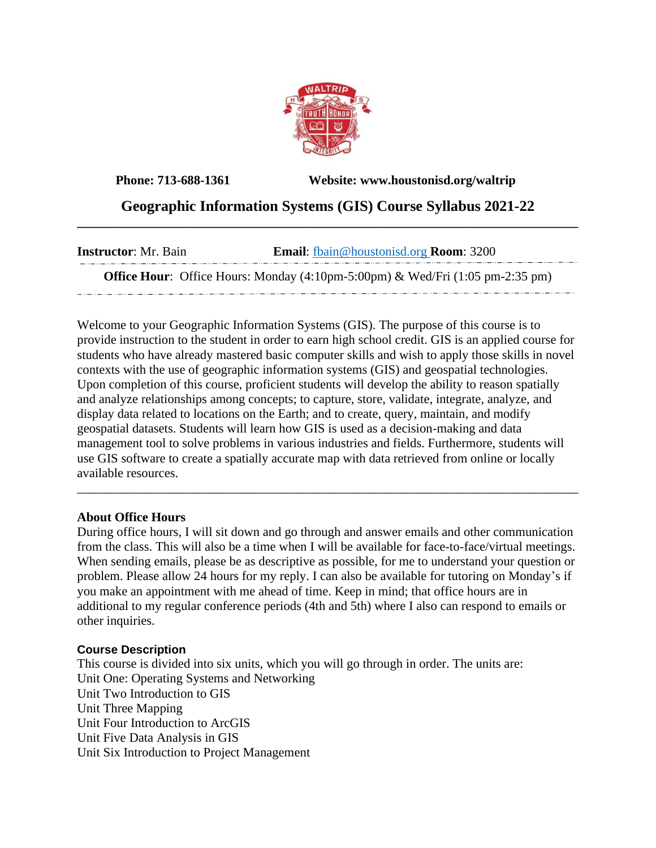

**Phone: 713-688-1361 Website: www.houstonisd.org/waltrip**

 $\cdots$ 

## **Geographic Information Systems (GIS) Course Syllabus 2021-22 \_\_\_\_\_\_\_\_\_\_\_\_\_\_\_\_\_\_\_\_\_\_\_\_\_\_\_\_\_\_\_\_\_\_\_\_\_\_\_\_\_\_\_\_\_\_\_\_\_\_\_\_\_\_\_\_\_\_\_\_\_\_\_\_\_\_\_\_\_\_\_\_\_\_\_\_\_\_**

| <b>Instructor</b> : Mr. Bain                                                                                               | <b>Email:</b> fbain@houstonisd.org <b>Room:</b> 3200 |
|----------------------------------------------------------------------------------------------------------------------------|------------------------------------------------------|
| <b>Office Hour:</b> Office Hours: Monday $(4:10 \text{pm} - 5:00 \text{pm})$ & Wed/Fri $(1:05 \text{pm} - 2:35 \text{pm})$ |                                                      |

Welcome to your Geographic Information Systems (GIS). The purpose of this course is to provide instruction to the student in order to earn high school credit. GIS is an applied course for students who have already mastered basic computer skills and wish to apply those skills in novel contexts with the use of geographic information systems (GIS) and geospatial technologies. Upon completion of this course, proficient students will develop the ability to reason spatially and analyze relationships among concepts; to capture, store, validate, integrate, analyze, and display data related to locations on the Earth; and to create, query, maintain, and modify geospatial datasets. Students will learn how GIS is used as a decision-making and data management tool to solve problems in various industries and fields. Furthermore, students will use GIS software to create a spatially accurate map with data retrieved from online or locally available resources.

#### **About Office Hours**

During office hours, I will sit down and go through and answer emails and other communication from the class. This will also be a time when I will be available for face-to-face/virtual meetings. When sending emails, please be as descriptive as possible, for me to understand your question or problem. Please allow 24 hours for my reply. I can also be available for tutoring on Monday's if you make an appointment with me ahead of time. Keep in mind; that office hours are in additional to my regular conference periods (4th and 5th) where I also can respond to emails or other inquiries.

\_\_\_\_\_\_\_\_\_\_\_\_\_\_\_\_\_\_\_\_\_\_\_\_\_\_\_\_\_\_\_\_\_\_\_\_\_\_\_\_\_\_\_\_\_\_\_\_\_\_\_\_\_\_\_\_\_\_\_\_\_\_\_\_\_\_\_\_\_\_\_\_\_\_\_\_\_\_

#### **Course Description**

This course is divided into six units, which you will go through in order. The units are: Unit One: Operating Systems and Networking Unit Two Introduction to GIS Unit Three Mapping Unit Four Introduction to ArcGIS Unit Five Data Analysis in GIS Unit Six Introduction to Project Management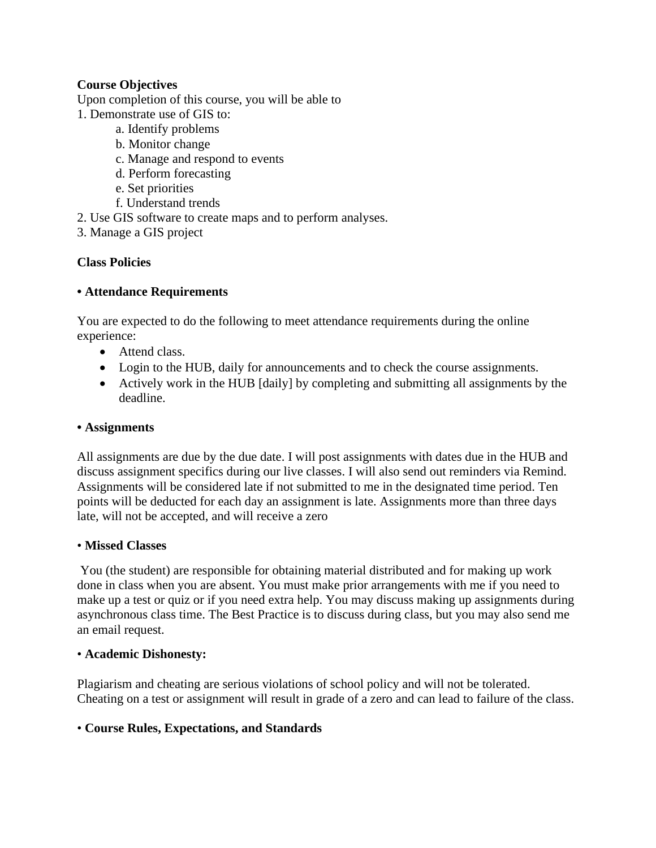### **Course Objectives**

Upon completion of this course, you will be able to

- 1. Demonstrate use of GIS to:
	- a. Identify problems
	- b. Monitor change
	- c. Manage and respond to events
	- d. Perform forecasting
	- e. Set priorities
	- f. Understand trends
- 2. Use GIS software to create maps and to perform analyses.
- 3. Manage a GIS project

## **Class Policies**

#### **• Attendance Requirements**

You are expected to do the following to meet attendance requirements during the online experience:

- Attend class.
- Login to the HUB, daily for announcements and to check the course assignments.
- Actively work in the HUB [daily] by completing and submitting all assignments by the deadline.

#### **• Assignments**

All assignments are due by the due date. I will post assignments with dates due in the HUB and discuss assignment specifics during our live classes. I will also send out reminders via Remind. Assignments will be considered late if not submitted to me in the designated time period. Ten points will be deducted for each day an assignment is late. Assignments more than three days late, will not be accepted, and will receive a zero

#### • **Missed Classes**

You (the student) are responsible for obtaining material distributed and for making up work done in class when you are absent. You must make prior arrangements with me if you need to make up a test or quiz or if you need extra help. You may discuss making up assignments during asynchronous class time. The Best Practice is to discuss during class, but you may also send me an email request.

#### • **Academic Dishonesty:**

Plagiarism and cheating are serious violations of school policy and will not be tolerated. Cheating on a test or assignment will result in grade of a zero and can lead to failure of the class.

#### • **Course Rules, Expectations, and Standards**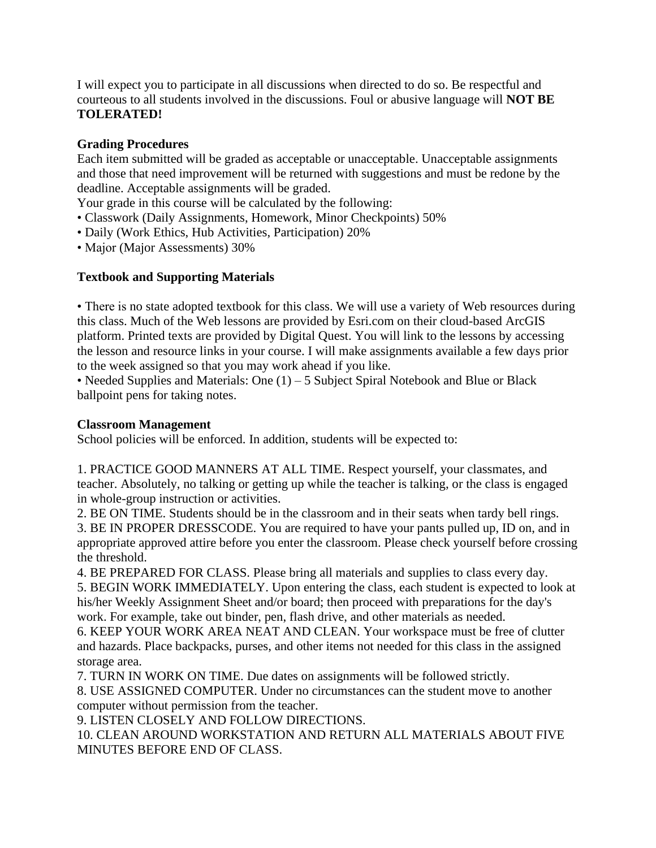I will expect you to participate in all discussions when directed to do so. Be respectful and courteous to all students involved in the discussions. Foul or abusive language will **NOT BE TOLERATED!** 

### **Grading Procedures**

Each item submitted will be graded as acceptable or unacceptable. Unacceptable assignments and those that need improvement will be returned with suggestions and must be redone by the deadline. Acceptable assignments will be graded.

Your grade in this course will be calculated by the following:

- Classwork (Daily Assignments, Homework, Minor Checkpoints) 50%
- Daily (Work Ethics, Hub Activities, Participation) 20%
- Major (Major Assessments) 30%

# **Textbook and Supporting Materials**

• There is no state adopted textbook for this class. We will use a variety of Web resources during this class. Much of the Web lessons are provided by Esri.com on their cloud-based ArcGIS platform. Printed texts are provided by Digital Quest. You will link to the lessons by accessing the lesson and resource links in your course. I will make assignments available a few days prior to the week assigned so that you may work ahead if you like.

• Needed Supplies and Materials: One (1) – 5 Subject Spiral Notebook and Blue or Black ballpoint pens for taking notes.

#### **Classroom Management**

School policies will be enforced. In addition, students will be expected to:

1. PRACTICE GOOD MANNERS AT ALL TIME. Respect yourself, your classmates, and teacher. Absolutely, no talking or getting up while the teacher is talking, or the class is engaged in whole-group instruction or activities.

2. BE ON TIME. Students should be in the classroom and in their seats when tardy bell rings. 3. BE IN PROPER DRESSCODE. You are required to have your pants pulled up, ID on, and in appropriate approved attire before you enter the classroom. Please check yourself before crossing the threshold.

4. BE PREPARED FOR CLASS. Please bring all materials and supplies to class every day.

5. BEGIN WORK IMMEDIATELY. Upon entering the class, each student is expected to look at his/her Weekly Assignment Sheet and/or board; then proceed with preparations for the day's work. For example, take out binder, pen, flash drive, and other materials as needed.

6. KEEP YOUR WORK AREA NEAT AND CLEAN. Your workspace must be free of clutter and hazards. Place backpacks, purses, and other items not needed for this class in the assigned storage area.

7. TURN IN WORK ON TIME. Due dates on assignments will be followed strictly.

8. USE ASSIGNED COMPUTER. Under no circumstances can the student move to another computer without permission from the teacher.

9. LISTEN CLOSELY AND FOLLOW DIRECTIONS.

10. CLEAN AROUND WORKSTATION AND RETURN ALL MATERIALS ABOUT FIVE MINUTES BEFORE END OF CLASS.